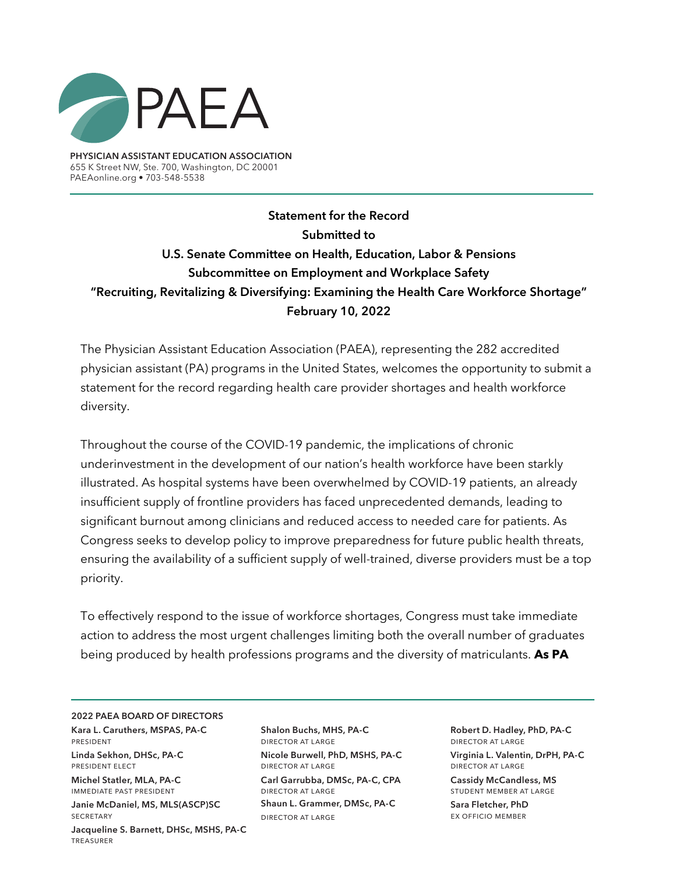

**PHYSICIAN ASSISTANT EDUCATION ASSOCIATION** 655 K Street NW, Ste. 700, Washington, DC 20001 PAEAonline.org • 703-548-5538

**Statement for the Record Submitted to U.S. Senate Committee on Health, Education, Labor & Pensions Subcommittee on Employment and Workplace Safety "Recruiting, Revitalizing & Diversifying: Examining the Health Care Workforce Shortage" February 10, 2022**

The Physician Assistant Education Association (PAEA), representing the 282 accredited physician assistant (PA) programs in the United States, welcomes the opportunity to submit a statement for the record regarding health care provider shortages and health workforce diversity.

Throughout the course of the COVID-19 pandemic, the implications of chronic underinvestment in the development of our nation's health workforce have been starkly illustrated. As hospital systems have been overwhelmed by COVID-19 patients, an already insufficient supply of frontline providers has faced unprecedented demands, leading to significant burnout among clinicians and reduced access to needed care for patients. As Congress seeks to develop policy to improve preparedness for future public health threats, ensuring the availability of a sufficient supply of well-trained, diverse providers must be a top priority.

To effectively respond to the issue of workforce shortages, Congress must take immediate action to address the most urgent challenges limiting both the overall number of graduates being produced by health professions programs and the diversity of matriculants. **As PA** 

## **2022 PAEA BOARD OF DIRECTORS**

**Kara L. Caruthers, MSPAS, PA-C**  president

**Linda Sekhon, DHSc, PA-C**  president elect

**Michel Statler, MLA, PA-C**  immediate past president **Janie McDaniel, MS, MLS(ASCP)SC SECRETARY Jacqueline S. Barnett, DHSc, MSHS, PA-C** treasurer

**Shalon Buchs, MHS, PA-C** director at large **Nicole Burwell, PhD, MSHS, PA-C** director at large **Carl Garrubba, DMSc, PA-C, CPA** director at large **Shaun L. Grammer, DMSc, PA-C** director at large

**Robert D. Hadley, PhD, PA-C** director at large **Virginia L. Valentin, DrPH, PA-C** director at large

**Cassidy McCandless, MS**  student member at large **Sara Fletcher, PhD**

ex officio member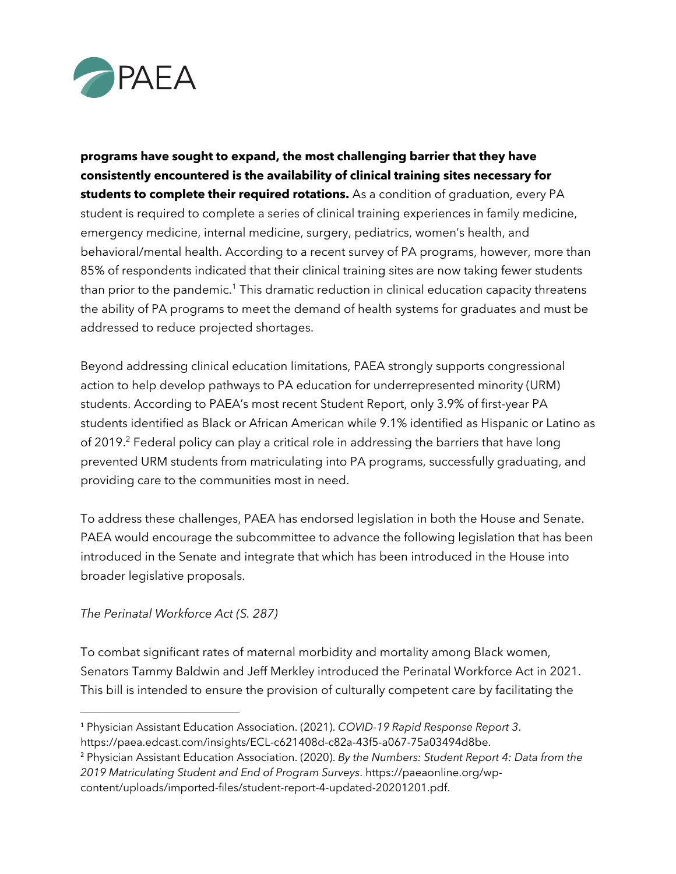

**programs have sought to expand, the most challenging barrier that they have consistently encountered is the availability of clinical training sites necessary for students to complete their required rotations.** As a condition of graduation, every PA student is required to complete a series of clinical training experiences in family medicine, emergency medicine, internal medicine, surgery, pediatrics, women's health, and behavioral/mental health. According to a recent survey of PA programs, however, more than 85% of respondents indicated that their clinical training sites are now taking fewer students than prior to the pandemic.<sup>1</sup> This dramatic reduction in clinical education capacity threatens the ability of PA programs to meet the demand of health systems for graduates and must be addressed to reduce projected shortages.

Beyond addressing clinical education limitations, PAEA strongly supports congressional action to help develop pathways to PA education for underrepresented minority (URM) students. According to PAEA's most recent Student Report, only 3.9% of first-year PA students identified as Black or African American while 9.1% identified as Hispanic or Latino as of 2019.<sup>2</sup> Federal policy can play a critical role in addressing the barriers that have long prevented URM students from matriculating into PA programs, successfully graduating, and providing care to the communities most in need.

To address these challenges, PAEA has endorsed legislation in both the House and Senate. PAEA would encourage the subcommittee to advance the following legislation that has been introduced in the Senate and integrate that which has been introduced in the House into broader legislative proposals.

## *The Perinatal Workforce Act (S. 287)*

To combat significant rates of maternal morbidity and mortality among Black women, Senators Tammy Baldwin and Jeff Merkley introduced the Perinatal Workforce Act in 2021. This bill is intended to ensure the provision of culturally competent care by facilitating the

<sup>1</sup> Physician Assistant Education Association. (2021). *COVID-19 Rapid Response Report 3*. https://paea.edcast.com/insights/ECL-c621408d-c82a-43f5-a067-75a03494d8be.

<sup>2</sup> Physician Assistant Education Association. (2020). *By the Numbers: Student Report 4: Data from the 2019 Matriculating Student and End of Program Surveys*. https://paeaonline.org/wpcontent/uploads/imported-files/student-report-4-updated-20201201.pdf.